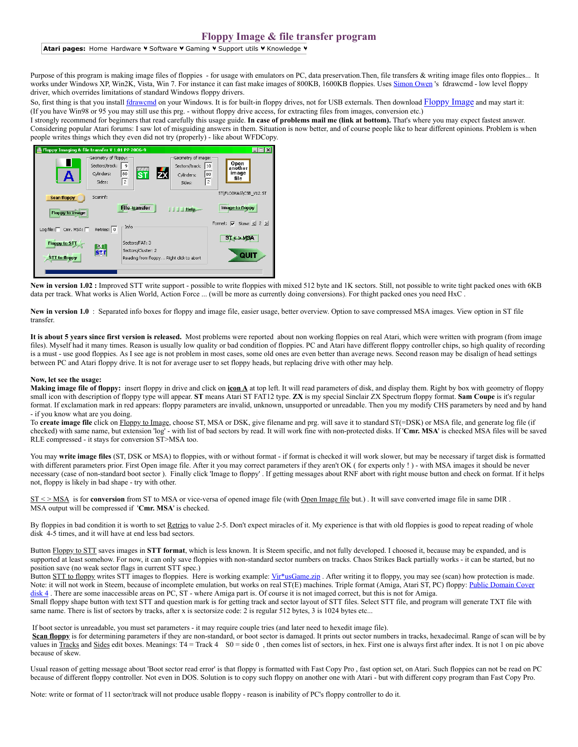# **Floppy Image & file transfer program**

#### [Atari pages:](javascript:;) [Home](https://atari.8bitchip.info/index.html) [Hardware](javascript:;) V [Software](javascript:;) V [Gaming](javascript:;) V [Support utils](javascript:;) V [Knowledge](javascript:;) V

Purpose of this program is making image files of floppies - for usage with emulators on PC, data preservation.Then, file transfers & writing image files onto floppies... It works under Windows XP, Win2K, Vista, Win 7. For instance it can fast make images of 800KB, 1600KB floppies. Uses [Simon](http://simonowen.com/fdrawcmd/) Owen 's fdrawcmd - low level floppy driver, which overrides limitations of standard Windows floppy drivers.

So, first thing is that you install [fdrawcmd](https://atari.8bitchip.info/FdInstall.zip) on your Windows. It is for built-in floppy drives, not for USB externals. Then download [Floppy](https://atari.8bitchip.info/FloImg1.zip) Image and may start it: (If you have Win98 or 95 you may still use this prg. - without floppy drive access, for extracting files from images, conversion etc.)

I strongly recommend for beginners that read carefully this usage guide. In case of problems mail me (link at bottom). That's where you may expect fastest answer. Considering popular Atari forums: I saw lot of misguiding answers in them. Situation is now better, and of course people like to hear different opinions. Problem is when people writes things which they even did not try (properly) - like about WFDCopy.



**New in version 1.02 :** Improved STT write support - possible to write floppies with mixed 512 byte and 1K sectors. Still, not possible to write tight packed ones with 6KB data per track. What works is Alien World, Action Force ... (will be more as currently doing conversions). For thight packed ones you need HxC.

**New in version 1.0** : Separated info boxes for floppy and image file, easier usage, better overview. Option to save compressed MSA images. View option in ST file transfer.

It is about 5 years since first version is released. Most problems were reported about non working floppies on real Atari, which were written with program (from image files). Myself had it many times. Reason is usually low quality or bad condition of floppies. PC and Atari have different floppy controller chips, so high quality of recording is a must - use good floppies. As I see age is not problem in most cases, some old ones are even better than average news. Second reason may be disalign of head settings between PC and Atari floppy drive. It is not for average user to set floppy heads, but replacing drive with other may help.

#### **Now, let see the usage:**

**Making image file of floppy:** insert floppy in drive and click on **icon A** at top left. It will read parameters of disk, and display them. Right by box with geometry of floppy small icon with description of floppy type will appear. **ST** means Atari ST FAT12 type. **ZX** is my special Sinclair ZX Spectrum floppy format. **Sam Coupe** is it's regular format. If exclamation mark in red appears: floppy parameters are invalid, unknown, unsupported or unreadable. Then you my modify CHS parameters by need and by hand - if you know what are you doing.

To **create image file** click on Floppy to Image, choose ST, MSA or DSK, give filename and prg. will save it to standard ST(=DSK) or MSA file, and generate log file (if checked) with same name, but extension 'log' - with list of bad sectors by read. It will work fine with non-protected disks. If '**Cmr. MSA**' is checked MSA files will be saved RLE compressed - it stays for conversion ST>MSA too.

You may write image files (ST, DSK or MSA) to floppies, with or without format - if format is checked it will work slower, but may be necessary if target disk is formatted with different parameters prior. First Open image file. After it you may correct parameters if they aren't OK (for experts only !) - with MSA images it should be never necessary (case of non-standard boot sector ). Finally click 'Image to floppy' . If getting messages about RNF abort with right mouse button and check on format. If it helps not, floppy is likely in bad shape - try with other.

 $ST \leq NSA$  is for **conversion** from ST to MSA or vice-versa of opened image file (with Open Image file but.). It will save converted image file in same DIR.<br>MSA output will be compressed if 'Cmr. MSA' is checked.

By floppies in bad condition it is worth to set Retries to value 2-5. Don't expect miracles of it. My experience is that with old floppies is good to repeat reading of whole disk  $4-5$  times, and it will have at end less bad sectors.

Button Floppy to STT saves images in **STT format**, which is less known. It is Steem specific, and not fully developed. I choosed it, because may be expanded, and is supported at least somehow. For now, it can only save floppies with non-standard sector numbers on tracks. Chaos Strikes Back partially works - it can be started, but no position save (no weak sector flags in current STT spec.)

Button STT to floppy writes STT images to floppies. Here is working example: [Vir\\*usGame.zip](https://atari.8bitchip.info/virgam.zip) . After writing it to floppy, you may see (scan) how protection is made. Note: it will not work in Steem, because of incomplete emulation, but works on real ST(E) machines. Triple format (Amiga, Atari ST, PC) floppy: Public Domain Cover disk 4. There are some [inaccessible](https://atari.8bitchip.info/PuDoCoD4.zip) areas on PC, ST - where Amiga part is. Of course it is not imaged correct, but this is not for Amiga.

Small floppy shape button with text STT and question mark is for getting track and sector layout of STT files. Select STT file, and program will generate TXT file with same name. There is list of sectors by tracks, after x is sectorsize code: 2 is regular 512 bytes, 3 is 1024 bytes etc...

If boot sector is unreadable, you must set parameters - it may require couple tries (and later need to hexedit image file).

Scan floppy is for determining parameters if they are non-standard, or boot sector is damaged. It prints out sector numbers in tracks, hexadecimal. Range of scan will be by values in Tracks and Sides edit boxes. Meanings:  $T4 = Track 4$  S0 = side 0, then comes list of sectors, in hex. First one is always first after index. It is not 1 on pic above because of skew.

Usual reason of getting message about 'Boot sector read error' is that floppy is formatted with Fast Copy Pro , fast option set, on Atari. Such floppies can not be read on PC because of different floppy controller. Not even in DOS. Solution is to copy such floppy on another one with Atari - but with different copy program than Fast Copy Pro.

Note: write or format of 11 sector/track will not produce usable floppy - reason is inability of PC's floppy controller to do it.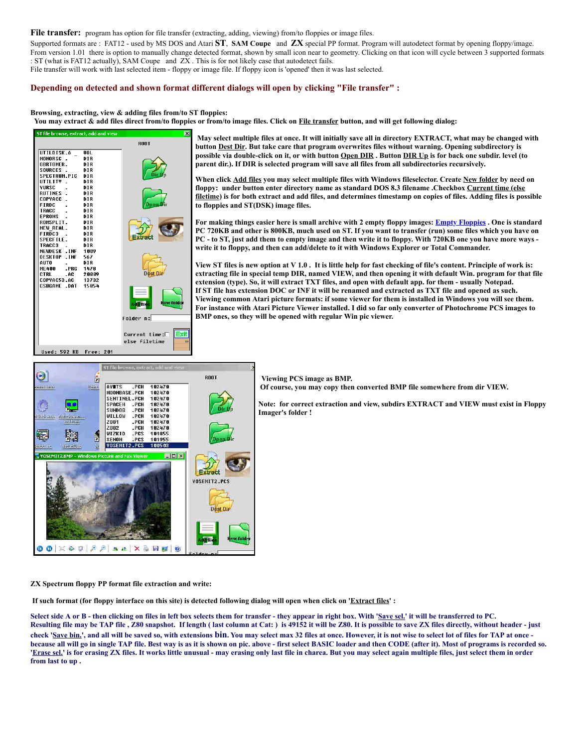**File transfer:** program has option for file transfer (extracting, adding, viewing) from/to floppies or image files.

Supported formats are : FAT12 - used by MS DOS and Atari **ST**, **SAM Coupe** and **ZX** special PP format. Program will autodetect format by opening floppy/image. From version 1.01 there is option to manually change detected format, shown by small icon near to geometry. Clicking on that icon will cycle between 3 supported formats : ST (what is FAT12 actually), SAM Coupe and ZX . This is for not likely case that autodetect fails.

File transfer will work with last selected item - floppy or image file. If floppy icon is 'opened' then it was last selected.

## **Depending on detected and shown format different dialogs will open by clicking "File transfer" :**

### **Browsing, extracting, view & adding files from/to ST floppies:**

You may extract & add files direct from/to floppies or from/to image files. Click on File transfer button, and will get following dialog:



May select multiple files at once. It will initially save all in directory EXTRACT, what may be changed with **button Dest Dir. But take care that program overwrites files without warning. Opening subdirectory is** possible via double-click on it, or with button Open DIR. Button DIR Up is for back one subdir. level (to **parent dir.). If DIR is selected program will save all files from all subdirectories recursively.**

When click Add files you may select multiple files with Windows fileselector. Create New folder by need on **floppy: under button enter directory name as standard DOS 8.3 filename .Checkbox Current time (else** filetime) is for both extract and add files, and determines timestamp on copies of files. Adding files is possible **to floppies and ST(DSK) image files.**

For making things easier here is small archive with 2 empty floppy images: **Empty [Floppies](https://atari.8bitchip.info/EmptyFlops.zip)** . One is standard PC 720KB and other is 800KB, much used on ST. If you want to transfer (run) some files which you have on PC - to ST, just add them to empty image and then write it to floppy. With 720KB one you have more ways **write it to floppy, and then can add/delete to it with Windows Explorer or Total Commander.**

View ST files is new option at V 1.0. It is little help for fast checking of file's content. Principle of work is: extracting file in special temp DIR, named VIEW, and then opening it with default Win. program for that file extension (type). So, it will extract TXT files, and open with default app. for them - usually Notepad. If ST file has extension DOC or INF it will be renamed and extracted as TXT file and opened as such. Viewing common Atari picture formats: if some viewer for them is installed in Windows you will see them. For instance with Atari Picture Viewer installed. I did so far only converter of Photochrome PCS images to **BMP ones, so they will be opened with regular Win pic viewer.**



**Viewing PCS image as BMP. Of course, you may copy then converted BMP file somewhere from dir VIEW.**

**Note: for correct extraction and view, subdirs EXTRACT and VIEW must exist in Floppy Imager's folder !**

**ZX Spectrum floppy PP format file extraction and write:**

If such format (for floppy interface on this site) is detected following dialog will open when click on 'Extract files':

Select side A or B - then clicking on files in left box selects them for transfer - they appear in right box. With 'Save sel.' it will be transferred to PC. Resulting file may be TAP file, Z80 snapshot. If length (last column at Cat:) is 49152 it will be Z80. It is possible to save ZX files directly, without header - just check 'Save bin.', and all will be saved so, with extensions bin. You may select max 32 files at once. However, it is not wise to select lot of files for TAP at once because all will go in single TAP file. Best way is as it is shown on pic. above - first select BASIC loader and then CODE (after it). Most of programs is recorded so. 'Erase sel,' is for erasing ZX files. It works little unusual - may erasing only last file in charea. But you may select again multiple files, just select them in order **from last to up .**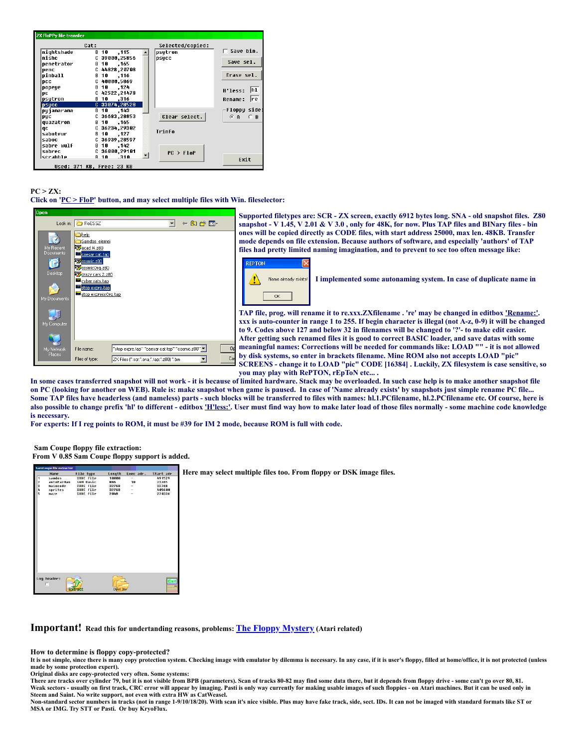| <b>ZX FloPPy file transfer</b> |                           |                  |                    |
|--------------------------------|---------------------------|------------------|--------------------|
|                                | Cat:                      | Selected/copied: |                    |
| nightshade                     | .115<br>B 10              | psutron          | $\sqcap$ Save bin. |
| nishc                          | C 39888,25856             | psycc            | Save sel.          |
| penetrator                     | B 10<br>-165              |                  |                    |
| penc                           | C 44828.20708             |                  |                    |
| pinball                        | B 10 116                  |                  | Erase sel.         |
| DCC                            | C 40000.5869              |                  |                    |
| popeye                         | B 10 124                  |                  | hl<br>$H'$ less:   |
| DС                             | $C$ 42522,21478           |                  |                    |
| psutron                        | B 10 316                  |                  | lrel<br>Rename:    |
| <b>psycc</b>                   | $C$ 33074,28528           |                  |                    |
| pujamarama                     | 143<br>B 10               |                  | Floppy side:       |
| puc                            | C 36683.28853             | Clear select.    | $G$ $A$<br>$C$ B   |
| quazatron                      | B 10 165                  |                  |                    |
| qc                             | C 36234.29382             | Trinfo           |                    |
| saboteur                       | B 10 127                  |                  |                    |
| saboc                          | C 36939,28597             |                  |                    |
| sabre wulf                     | B 10 142                  |                  |                    |
| sabrec                         | C 36000,29101             | $PC$ > $F10P$    |                    |
| scrabble                       | B 10<br>- 318             |                  | Exit               |
|                                | Used: 371 KB, Free: 23 KB |                  |                    |

| PC > ZX                                                                               |
|---------------------------------------------------------------------------------------|
| Click on ' $PC > FloP'$ button, and may select multiple files with Win. fileselector: |

| <b>Open</b>                   |                                                                      |
|-------------------------------|----------------------------------------------------------------------|
|                               | Look in: FloESSZ<br>← 国 合 丽 ·                                        |
|                               | help                                                                 |
|                               | Samdos elemei                                                        |
| My Recent<br><b>Documents</b> | <b>Py</b> acad 14.280                                                |
|                               | caesar cat.tap<br>cosmic.280                                         |
|                               | cosmicOrg.280                                                        |
| Desktop                       | <b>Py crazy cars 2.280</b>                                           |
|                               | cyber rats.tap                                                       |
|                               | stop expre.tap                                                       |
|                               | stop expressOrg.tap                                                  |
| My Documents                  |                                                                      |
|                               |                                                                      |
|                               |                                                                      |
| My Computer                   |                                                                      |
|                               |                                                                      |
|                               |                                                                      |
| My Network                    | "stop expre.tap" "caesar cat.tap" "cosmic.z80" \<br>Ūμ<br>File name: |
| Places                        |                                                                      |
|                               | Car<br>Files of type:<br>ZX Files [".scr;".sna;".tap;".z80) ".bin    |

**Supported filetypes are: SCR -ZX screen, exactly 6912 bytes long. SNA -old snapshot files. Z80** snapshot - V 1.45, V 2.01 & V 3.0, only for 48K, for now. Plus TAP files and BINary files - bin **ones will be copied directly as CODE files, with start address 25000, max len. 48KB. Transfer mode depends on file extension. Because authors of software, and especially 'authors' of TAP files had pretty limited naming imagination, and to prevent to see too often message like:**

Name already exists **I implemented some autonaming system. In case of duplicate name in**

**TAP file, prog. will rename it to re.xxx.ZXfilename . 're' may be changed in editbox 'Rename:'.** xxx is auto-counter in range 1 to 255. If begin character is illegal (not  $A-z$ , 0-9) it will be changed to 9. Codes above 127 and below 32 in filenames will be changed to '?'- to make edit easier. **After getting such renamed files it is good to correct BASIC loader, and save datas with some meaningful names: Corrections will be needed for commands like: LOAD "" - it is not allowed by disk systems, so enter in brackets filename. Mine ROM also not accepts LOAD "pic" SCREEN\$ - change it to LOAD "pic" CODE [16384] . Luckily, ZX filesystem is case sensitive, so**

**you may play with RePTON, rEpToN etc... .**

In some cases transferred snapshot will not work - it is because of limited hardware. Stack may be overloaded. In such case help is to make another snapshot file on PC (looking for another on WEB). Rule is: make snapshot when game is paused. In case of 'Name already exists' by snapshots just simple rename PC file... Some TAP files have headerless (and nameless) parts - such blocks will be transferred to files with names: hl.1.PCfilename, hl.2.PCfilename etc. Of course, here is also possible to change prefix 'hl' to different - editbox 'H'less:'. User must find way how to make later load of those files normally - some machine code knowledge **is necessary.**

**DEDTOM** 

 $\overline{\alpha}$ 

For experts: If I reg points to ROM, it must be #39 for IM 2 mode, because ROM is full with code.

**Sam Coupe floppy file extraction: From V 0.85 Sam Coupe floppy support is added.**



**Here may select multiple files too. From floppy or DSK image files.**

**Important! Read this for undertanding reasons, problems: The Floppy [Mystery](https://atari.8bitchip.info/FloppyMistery.php) (Atari related)**

**How to determine is floppy copy-protected?**

It is not simple, since there is many copy protection system. Checking image with emulator by dilemma is necessary. In any case, if it is user's floppy, filled at home/office, it is not protected (unless **made by some protection expert).**

**Original disks are copy-protected very often. Some systems:**

**There are tracks over cylinder 79, but it is not visible from BPB (parameters). Scan of tracks 80-82 may find some data there, but it depends from floppy drive - some can't go over 80, 81. Weak sectors - usually on first track, CRC error will appear by imaging. Pasti is only way currently for making usable images of such floppies - on Atari machines. But it can be used only in Steem and Saint. No write support, not even with extra HW as CatWeasel.**

**Non-standard sector numbers in tracks (not in range 1-9/10/18/20). With scan it's nice visible. Plus may have fake track, side, sect. IDs. It can not be imaged with standard formats like ST or MSA or IMG. Try STT or Pasti. Or buy KryoFlux.**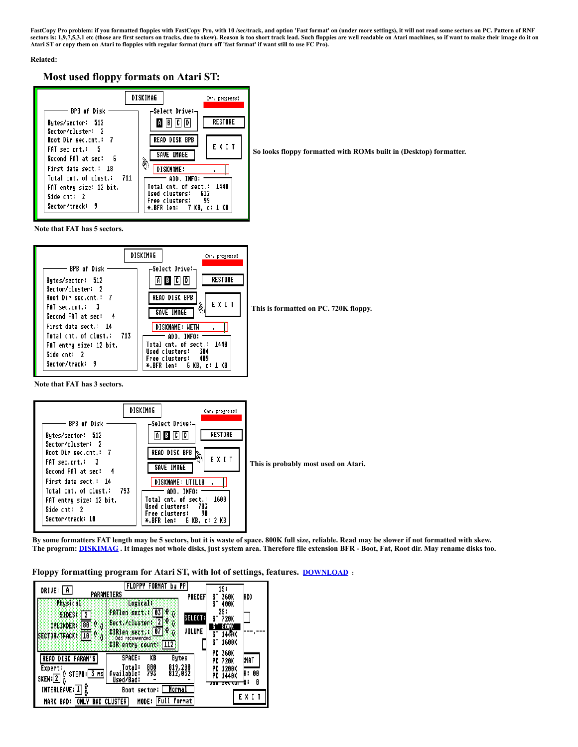**FastCopy Pro problem: if you formatted floppies with FastCopy Pro, with 10 /sec/track, and option 'Fast format' on (under more settings), it will not read some sectors on PC. Pattern of RNF** sectors is: 1,9,7,5,3,1 etc (those are first sectors on tracks, due to skew). Reason is too short track lead. Such floppies are well readable on Atari machines, so if want to make their image do it on **Atari ST or copy them on Atari to floppies with regular format (turn off 'fast format' if want still to use FC Pro).**

### **Related:**

### **Most used floppy formats on Atari ST:**



**So looks floppy formatted with ROMs built in (Desktop) formatter.**

**Note that FAT has 5 sectors.**



**This is formatted on PC. 720K floppy.**

**This is probably most used on Atari.**

**Note that FAT has 3 sectors.**

|                                                                                                                              | DISKIMAG<br>Car, progress:                                                                                                                            |                  |
|------------------------------------------------------------------------------------------------------------------------------|-------------------------------------------------------------------------------------------------------------------------------------------------------|------------------|
| <b>BPB</b> of Disk<br>Bytes/sector: 512<br>Sector/cluster: 2<br>Root Dir sec.cnt. 7<br>FAT sec.cnt.: 3<br>Second FAT at sec: | -Select Drive:-<br>RESTORE<br>$ C $ $ D $<br>10 B<br>READ DISK BPB<br>W<br>EXIT<br>SAVE IMAGE                                                         | This is probably |
| First data sect.: 14<br>Total cnt. of clust.:<br>- 793<br>FAT entry size: 12 bit.<br>Side cnt: 2<br>Sector/track: 10         | DISKNAME: UTIL18<br>$ADD.$ $IMFO:$ $-$<br>1600<br>Total cnt. of sect.:<br>Used clusters:<br>-703<br>- 90<br>Free clusters:<br>*BFR len: 6 KB, c: 2 KB |                  |

By some formatters FAT length may be 5 sectors, but it is waste of space. 800K full size, reliable. Read may be slower if not formatted with skew. The program: [DISKIMAG](https://atari.8bitchip.info/DISKIMAG.ZIP) . It images not whole disks, just system area. Therefore file extension BFR - Boot, Fat, Root dir. May rename disks too.

**Floppy formatting program for Atari ST, with lot of settings, features. [DOWNLOAD](https://atari.8bitchip.info/FLOFOR.ZIP) :**